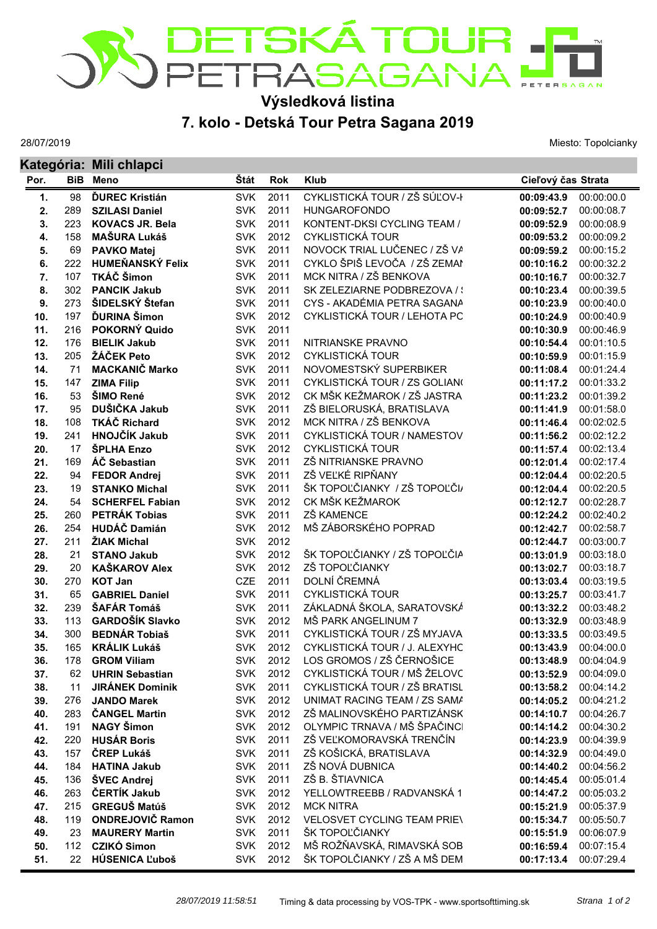

## **7. kolo - Detská Tour Petra Sagana 2019 Výsledková listina**

28/07/2019

Miesto: Topolcianky

|      |            | Kategória: Mili chlapci |            |            |                                    |                    |            |  |  |
|------|------------|-------------------------|------------|------------|------------------------------------|--------------------|------------|--|--|
| Por. | <b>BiB</b> | <b>Meno</b>             | Štát       | <b>Rok</b> | <b>Klub</b>                        | Cieľový čas Strata |            |  |  |
| 1.   | 98         | <b>ĎUREC Kristián</b>   | <b>SVK</b> | 2011       | CYKLISTICKÁ TOUR / ZŠ SÚĽOV-I      | 00:09:43.9         | 00:00:00.0 |  |  |
| 2.   | 289        | <b>SZILASI Daniel</b>   | <b>SVK</b> | 2011       | <b>HUNGAROFONDO</b>                | 00:09:52.7         | 00:00:08.7 |  |  |
| 3.   | 223        | <b>KOVACS JR. Bela</b>  | <b>SVK</b> | 2011       | KONTENT-DKSI CYCLING TEAM /        | 00:09:52.9         | 00:00:08.9 |  |  |
| 4.   | 158        | <b>MAŠURA Lukáš</b>     | <b>SVK</b> | 2012       | CYKLISTICKÁ TOUR                   | 00:09:53.2         | 00:00:09.2 |  |  |
| 5.   | 69         | <b>PAVKO Matej</b>      | <b>SVK</b> | 2011       | NOVOCK TRIAL LUČENEC / ZŠ VA       | 00:09:59.2         | 00:00:15.2 |  |  |
| 6.   | 222        | <b>HUMEŇANSKÝ Felix</b> | <b>SVK</b> | 2011       | CYKLO ŠPIŠ LEVOČA / ZŠ ZEMAN       | 00:10:16.2         | 00:00:32.2 |  |  |
| 7.   | 107        | TKÁČ Šimon              | <b>SVK</b> | 2011       | MCK NITRA / ZŠ BENKOVA             | 00:10:16.7         | 00:00:32.7 |  |  |
| 8.   | 302        | <b>PANCIK Jakub</b>     | <b>SVK</b> | 2011       | SK ZELEZIARNE PODBREZOVA / \       | 00:10:23.4         | 00:00:39.5 |  |  |
| 9.   | 273        | ŠIDELSKÝ Štefan         | <b>SVK</b> | 2011       | CYS - AKADÉMIA PETRA SAGANA        | 00:10:23.9         | 00:00:40.0 |  |  |
| 10.  | 197        | <b>ĎURINA</b> Šimon     | <b>SVK</b> | 2012       | CYKLISTICKÁ TOUR / LEHOTA PO       | 00:10:24.9         | 00:00:40.9 |  |  |
| 11.  | 216        | POKORNÝ Quido           | <b>SVK</b> | 2011       |                                    | 00:10:30.9         | 00:00:46.9 |  |  |
| 12.  | 176        | <b>BIELIK Jakub</b>     | <b>SVK</b> | 2011       | NITRIANSKE PRAVNO                  | 00:10:54.4         | 00:01:10.5 |  |  |
| 13.  | 205        | ŽÁČEK Peto              | <b>SVK</b> | 2012       | CYKLISTICKÁ TOUR                   | 00:10:59.9         | 00:01:15.9 |  |  |
| 14.  | 71         | <b>MACKANIČ Marko</b>   | <b>SVK</b> | 2011       | NOVOMESTSKÝ SUPERBIKER             | 00:11:08.4         | 00:01:24.4 |  |  |
| 15.  | 147        | <b>ZIMA Filip</b>       | <b>SVK</b> | 2011       | CYKLISTICKÁ TOUR / ZS GOLIANO      | 00:11:17.2         | 00:01:33.2 |  |  |
| 16.  | 53         | ŠIMO René               | <b>SVK</b> | 2012       | CK MŠK KEŽMAROK / ZŠ JASTRA        | 00:11:23.2         | 00:01:39.2 |  |  |
| 17.  | 95         | DUŠIČKA Jakub           | <b>SVK</b> | 2011       | ZŠ BIELORUSKÁ, BRATISLAVA          | 00:11:41.9         | 00:01:58.0 |  |  |
| 18.  | 108        | <b>TKÁČ Richard</b>     | <b>SVK</b> | 2012       | MCK NITRA / ZŠ BENKOVA             | 00:11:46.4         | 00:02:02.5 |  |  |
| 19.  | 241        | <b>HNOJČÍK Jakub</b>    | <b>SVK</b> | 2011       | CYKLISTICKÁ TOUR / NAMESTOV        | 00:11:56.2         | 00:02:12.2 |  |  |
| 20.  | 17         | <b>SPLHA Enzo</b>       | <b>SVK</b> | 2012       | <b>CYKLISTICKÁ TOUR</b>            | 00:11:57.4         | 00:02:13.4 |  |  |
| 21.  | 169        | ÁČ Sebastian            | <b>SVK</b> | 2011       | ZŠ NITRIANSKE PRAVNO               | 00:12:01.4         | 00:02:17.4 |  |  |
| 22.  | 94         | <b>FEDOR Andrej</b>     | <b>SVK</b> | 2011       | ZŠ VEĽKÉ RIPŇANY                   | 00:12:04.4         | 00:02:20.5 |  |  |
| 23.  | 19         | <b>STANKO Michal</b>    | <b>SVK</b> | 2011       | ŠK TOPOĽČIANKY / ZŠ TOPOĽČI/       | 00:12:04.4         | 00:02:20.5 |  |  |
| 24.  | 54         | <b>SCHERFEL Fabian</b>  | <b>SVK</b> | 2012       | CK MŠK KEŽMAROK                    | 00:12:12.7         | 00:02:28.7 |  |  |
| 25.  | 260        | <b>PETRÁK Tobias</b>    | <b>SVK</b> | 2011       | <b>ZŠ KAMENCE</b>                  | 00:12:24.2         | 00:02:40.2 |  |  |
| 26.  | 254        | <b>HUDÁČ Damián</b>     | <b>SVK</b> | 2012       | MŠ ZÁBORSKÉHO POPRAD               | 00:12:42.7         | 00:02:58.7 |  |  |
| 27.  | 211        | ŽIAK Michal             | <b>SVK</b> | 2012       |                                    | 00:12:44.7         | 00:03:00.7 |  |  |
| 28.  | 21         | <b>STANO Jakub</b>      | <b>SVK</b> | 2012       | ŠK TOPOĽČIANKY / ZŠ TOPOĽČIA       | 00:13:01.9         | 00:03:18.0 |  |  |
| 29.  | 20         | <b>KAŠKAROV Alex</b>    | <b>SVK</b> | 2012       | ZŠ TOPOĽČIANKY                     | 00:13:02.7         | 00:03:18.7 |  |  |
| 30.  | 270        | <b>KOT Jan</b>          | <b>CZE</b> | 2011       | DOLNÍ ČREMNÁ                       | 00:13:03.4         | 00:03:19.5 |  |  |
| 31.  | 65         | <b>GABRIEL Daniel</b>   | <b>SVK</b> | 2011       | <b>CYKLISTICKÁ TOUR</b>            | 00:13:25.7         | 00:03:41.7 |  |  |
| 32.  | 239        | ŠAFÁR Tomáš             | <b>SVK</b> | 2011       | ZÁKLADNÁ ŠKOLA, SARATOVSKÁ         | 00:13:32.2         | 00:03:48.2 |  |  |
| 33.  | 113        | <b>GARDOŠÍK Slavko</b>  | <b>SVK</b> | 2012       | MŠ PARK ANGELINUM 7                | 00:13:32.9         | 00:03:48.9 |  |  |
| 34.  | 300        | <b>BEDNÁR Tobiaš</b>    | <b>SVK</b> | 2011       | CYKLISTICKÁ TOUR / ZŠ MYJAVA       | 00:13:33.5         | 00:03:49.5 |  |  |
| 35.  | 165        | <b>KRÁLIK Lukáš</b>     | <b>SVK</b> | 2012       | CYKLISTICKÁ TOUR / J. ALEXYHC      | 00:13:43.9         | 00:04:00.0 |  |  |
| 36.  | 178        | <b>GROM Viliam</b>      | <b>SVK</b> | 2012       | LOS GROMOS / ZŠ ČERNOŠICE          | 00:13:48.9         | 00:04:04.9 |  |  |
| 37.  | 62         | <b>UHRIN Sebastian</b>  | <b>SVK</b> | 2012       | CYKLISTICKÁ TOUR / MŠ ŽELOVC       | 00:13:52.9         | 00:04:09.0 |  |  |
| 38.  | 11         | <b>JIRÁNEK Dominik</b>  | <b>SVK</b> | 2011       | CYKLISTICKÁ TOUR / ZŠ BRATISL      | 00:13:58.2         | 00:04:14.2 |  |  |
| 39.  | 276        | <b>JANDO Marek</b>      | <b>SVK</b> | 2012       | UNIMAT RACING TEAM / ZS SAMA       | 00:14:05.2         | 00:04:21.2 |  |  |
| 40.  | 283        | <b>ČANGEL Martin</b>    | <b>SVK</b> | 2012       | ZŠ MALINOVSKÉHO PARTIZÁNSK         | 00:14:10.7         | 00:04:26.7 |  |  |
| 41.  | 191        | <b>NAGY Šimon</b>       | <b>SVK</b> | 2012       | OLYMPIC TRNAVA / MŠ ŠPAČINCI       | 00:14:14.2         | 00:04:30.2 |  |  |
| 42.  | 220        | <b>HUSÁR Boris</b>      | <b>SVK</b> | 2011       | ZŠ VEĽKOMORAVSKÁ TRENČÍN           | 00:14:23.9         | 00:04:39.9 |  |  |
| 43.  | 157        | ČREP Lukáš              | <b>SVK</b> | 2011       | ZŠ KOŠICKÁ, BRATISLAVA             | 00:14:32.9         | 00:04:49.0 |  |  |
| 44.  | 184        | <b>HATINA Jakub</b>     | <b>SVK</b> | 2011       | ZŠ NOVÁ DUBNICA                    | 00:14:40.2         | 00:04:56.2 |  |  |
| 45.  | 136        | ŠVEC Andrej             | <b>SVK</b> | 2011       | ZŠ B. ŠTIAVNICA                    | 00:14:45.4         | 00:05:01.4 |  |  |
| 46.  | 263        | ČERTÍK Jakub            | <b>SVK</b> | 2012       | YELLOWTREEBB / RADVANSKÁ 1         | 00:14:47.2         | 00:05:03.2 |  |  |
| 47.  | 215        | <b>GREGUŠ Matúš</b>     | <b>SVK</b> | 2012       | <b>MCK NITRA</b>                   | 00:15:21.9         | 00:05:37.9 |  |  |
| 48.  | 119        | <b>ONDREJOVIČ Ramon</b> | <b>SVK</b> | 2012       | <b>VELOSVET CYCLING TEAM PRIEV</b> | 00:15:34.7         | 00:05:50.7 |  |  |
| 49.  | 23         | <b>MAURERY Martin</b>   | <b>SVK</b> | 2011       | ŠK TOPOĽČIANKY                     | 00:15:51.9         | 00:06:07.9 |  |  |
| 50.  | 112        | <b>CZIKÓ Simon</b>      | <b>SVK</b> | 2012       | MŠ ROŽŇAVSKÁ, RIMAVSKÁ SOB         | 00:16:59.4         | 00:07:15.4 |  |  |
| 51.  | 22         | <b>HÚSENICA Ľuboš</b>   | <b>SVK</b> | 2012       | ŠK TOPOLČIANKY / ZŠ A MŠ DEM       | 00:17:13.4         | 00:07:29.4 |  |  |